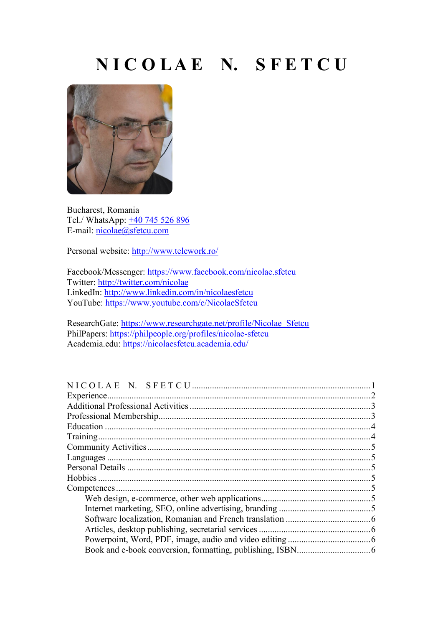## **N I C O L A E N. S F E T C U**

<span id="page-0-0"></span>

Bucharest, Romania Tel./ WhatsApp:  $\pm 40$  745 526 896 E-mail: [nicolae@sfetcu.com](mailto:nicolae@sfetcu.com)

Personal website:<http://www.telework.ro/>

Facebook/Messenger:<https://www.facebook.com/nicolae.sfetcu> Twitter:<http://twitter.com/nicolae> LinkedIn:<http://www.linkedin.com/in/nicolaesfetcu> YouTube:<https://www.youtube.com/c/NicolaeSfetcu>

ResearchGate: [https://www.researchgate.net/profile/Nicolae\\_Sfetcu](https://www.researchgate.net/profile/Nicolae_Sfetcu) PhilPapers:<https://philpeople.org/profiles/nicolae-sfetcu> Academia.edu:<https://nicolaesfetcu.academia.edu/>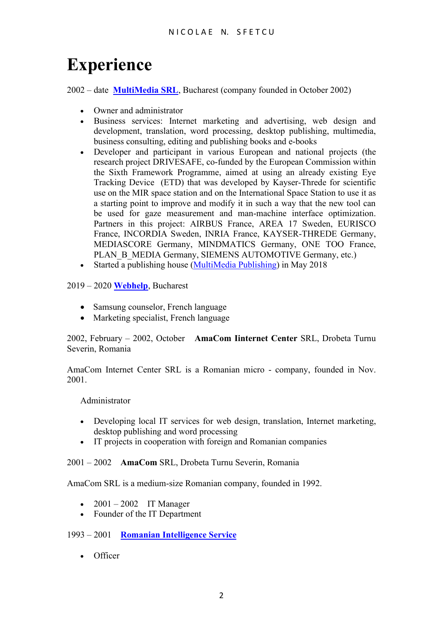# <span id="page-1-0"></span>**Experience**

2002 – date **[MultiMedia](http://www.multimedia.com.ro/) SRL**, Bucharest (company founded in October 2002)

- Owner and administrator
- Business services: Internet marketing and advertising, web design and development, translation, word processing, desktop publishing, multimedia, business consulting, editing and publishing books and e-books
- Developer and participant in various European and national projects (the research project DRIVESAFE, co-funded by the European Commission within the Sixth Framework Programme, aimed at using an already existing Eye Tracking Device (ETD) that was developed by Kayser-Threde for scientific use on the MIR space station and on the International Space Station to use it as a starting point to improve and modify it in such a way that the new tool can be used for gaze measurement and man-machine interface optimization. Partners in this project: AIRBUS France, AREA 17 Sweden, EURISCO France, INCORDIA Sweden, INRIA France, KAYSER-THREDE Germany, MEDIASCORE Germany, MINDMATICS Germany, ONE TOO France, PLAN\_B\_MEDIA Germany, SIEMENS AUTOMOTIVE Germany, etc.)
- Started a publishing house [\(MultiMedia Publishing\)](https://www.telework.ro/en/publishing/) in May 2018

### 2019 – 2020 **[Webhelp](https://www.webhelp.com/)**, Bucharest

- Samsung counselor, French language
- Marketing specialist, French language

2002, February – 2002, October **AmaCom Iinternet Center** SRL, Drobeta Turnu Severin, Romania

AmaCom Internet Center SRL is a Romanian micro - company, founded in Nov. 2001.

Administrator

- Developing local IT services for web design, translation, Internet marketing, desktop publishing and word processing
- IT projects in cooperation with foreign and Romanian companies

2001 – 2002 **AmaCom** SRL, Drobeta Turnu Severin, Romania

AmaCom SRL is a medium-size Romanian company, founded in 1992.

- 2001 2002 IT Manager
- Founder of the IT Department

### 1993 – 2001 **[Romanian Intelligence Service](http://www.sri.ro/)**

• Officer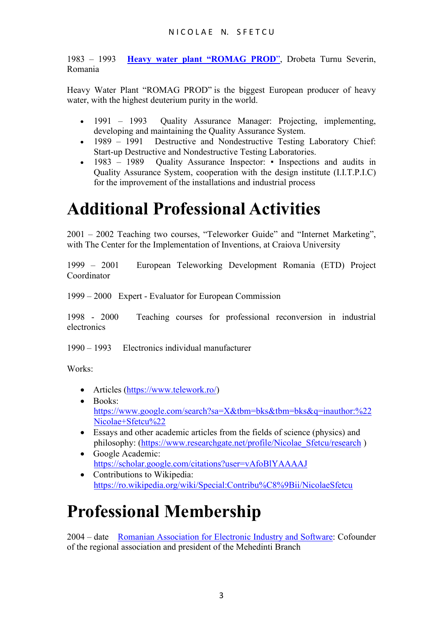1983 – 1993 **[Heavy water plant](http://www.romag.ro/) "ROMAG PROD**", Drobeta Turnu Severin, Romania

Heavy Water Plant "ROMAG PROD" is the biggest European producer of heavy water, with the highest deuterium purity in the world.

- 1991 1993 Ouality Assurance Manager: Projecting, implementing, developing and maintaining the Quality Assurance System.
- 1989 1991 Destructive and Nondestructive Testing Laboratory Chief: Start-up Destructive and Nondestructive Testing Laboratories.
- 1983 1989 Quality Assurance Inspector: Inspections and audits in Quality Assurance System, cooperation with the design institute (I.I.T.P.I.C) for the improvement of the installations and industrial process

# <span id="page-2-0"></span>**Additional Professional Activities**

2001 – 2002 Teaching two courses, "Teleworker Guide" and "Internet Marketing", with The Center for the Implementation of Inventions, at Craiova University

1999 – 2001 European Teleworking Development Romania (ETD) Project Coordinator

1999 – 2000 Expert - Evaluator for European Commission

1998 - 2000 Teaching courses for professional reconversion in industrial electronics

1990 – 1993 Electronics individual manufacturer

Works:

- Articles [\(https://www.telework.ro/\)](https://www.telework.ro/)
- Books: [https://www.google.com/search?sa=X&tbm=bks&tbm=bks&q=inauthor:%22](https://www.google.com/search?sa=X&tbm=bks&tbm=bks&q=inauthor:%22Nicolae+Sfetcu%22) [Nicolae+Sfetcu%22](https://www.google.com/search?sa=X&tbm=bks&tbm=bks&q=inauthor:%22Nicolae+Sfetcu%22)
- Essays and other academic articles from the fields of science (physics) and philosophy: (https://www.researchgate.net/profile/Nicolae Sfetcu/research)
- Google Academic: <https://scholar.google.com/citations?user=vAfoBlYAAAAJ>
- Contributions to Wikipedia: <https://ro.wikipedia.org/wiki/Special:Contribu%C8%9Bii/NicolaeSfetcu>

# <span id="page-2-1"></span>**Professional Membership**

2004 – date [Romanian Association for Electronic Industry and Software:](http://www.aries.ro/) Cofounder of the regional association and president of the Mehedinti Branch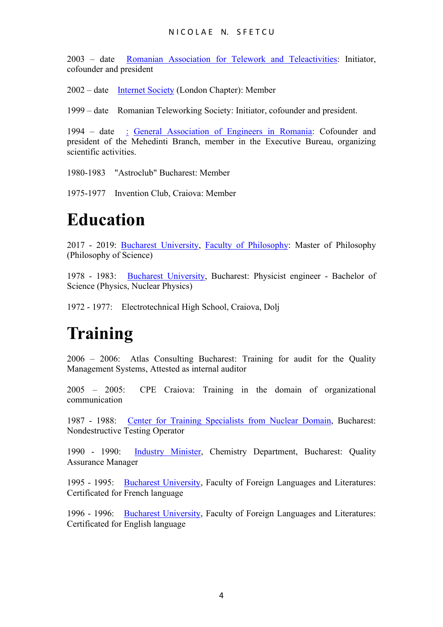#### N I COLAE N. SFETCU

2003 – date [Romanian Association for Telework and Teleactivities:](https://www.telework.ro/en/ratt/) Initiator, cofounder and president

2002 – date [Internet Society](http://www.isoc.org/) (London Chapter): Member

1999 – date Romanian Teleworking Society: Initiator, cofounder and president.

1994 – date [:](http://www.agir.ro/) [General Association of Engineers in Romania:](https://www.agir.ro/) Cofounder and president of the Mehedinti Branch, member in the Executive Bureau, organizing scientific activities.

1980-1983 "Astroclub" Bucharest: Member

1975-1977 Invention Club, Craiova: Member

## <span id="page-3-0"></span>**Education**

2017 - 2019: [Bucharest University,](http://www.unibuc.ro/) Faculty [of Philosophy:](http://filosofie.unibuc.ro/) Master of Philosophy (Philosophy of Science)

1978 - 1983: [Bucharest University,](http://www.unibuc.ro/) Bucharest: Physicist engineer - Bachelor of Science (Physics, Nuclear Physics)

1972 - 1977: Electrotechnical High School, Craiova, Dolj

### <span id="page-3-1"></span>**Training**

2006 – 2006: Atlas Consulting Bucharest: Training for audit for the Quality Management Systems, Attested as internal auditor

2005 – 2005: CPE Craiova: Training in the domain of organizational communication

1987 - 1988: [Center for Training Specialists from Nuclear Domain,](http://www.ifa.ro/) Bucharest: Nondestructive Testing Operator

1990 - 1990: [Industry Minister,](http://www.minind.ro/) Chemistry Department, Bucharest: Quality Assurance Manager

1995 - 1995: [Bucharest University,](http://www.unibuc.ro/) Faculty of Foreign Languages and Literatures: Certificated for French language

<span id="page-3-2"></span>1996 - 1996: [Bucharest University,](http://www.unibuc.ro/) Faculty of Foreign Languages and Literatures: Certificated for English language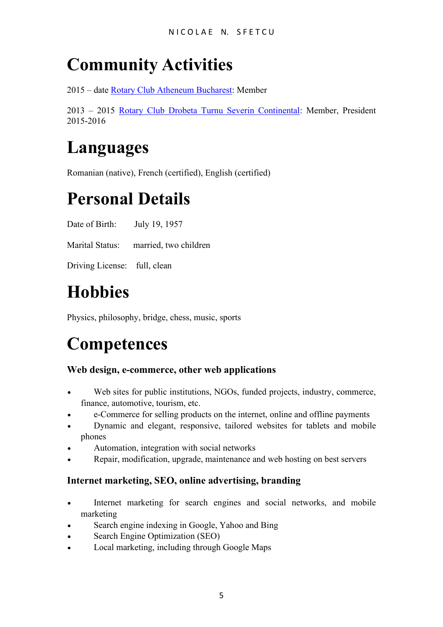# **Community Activities**

2015 – date [Rotary Club Atheneum Bucharest:](http://www.rotaryatheneum.ro/) Member

2013 – 2015 [Rotary Club Drobeta Turnu Severin Continental:](http://www.rotarydrobeta.org/) Member, President 2015-2016

### <span id="page-4-0"></span>**Languages**

Romanian (native), French (certified), English (certified)

# <span id="page-4-1"></span>**Personal Details**

Date of Birth: July 19, 1957

Marital Status: married, two children

Driving License: full, clean

# <span id="page-4-2"></span>**Hobbies**

Physics, philosophy, bridge, chess, music, sports

# <span id="page-4-3"></span>**Competences**

### <span id="page-4-4"></span>**Web design, e-commerce, other web applications**

- Web sites for public institutions, NGOs, funded projects, industry, commerce, finance, automotive, tourism, etc.
- e-Commerce for selling products on the internet, online and offline payments
- Dynamic and elegant, responsive, tailored websites for tablets and mobile phones
- Automation, integration with social networks
- Repair, modification, upgrade, maintenance and web hosting on best servers

### <span id="page-4-5"></span>**Internet marketing, SEO, online advertising, branding**

- Internet marketing for search engines and social networks, and mobile marketing
- Search engine indexing in Google, Yahoo and Bing
- Search Engine Optimization (SEO)
- Local marketing, including through Google Maps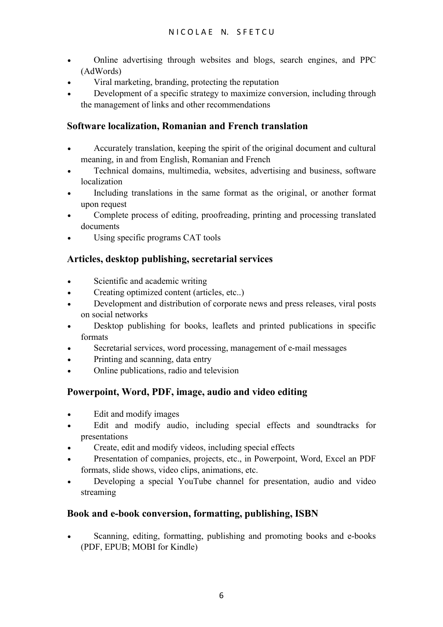- Online advertising through websites and blogs, search engines, and PPC (AdWords)
- Viral marketing, branding, protecting the reputation
- Development of a specific strategy to maximize conversion, including through the management of links and other recommendations

### <span id="page-5-0"></span>**Software localization, Romanian and French translation**

- Accurately translation, keeping the spirit of the original document and cultural meaning, in and from English, Romanian and French
- Technical domains, multimedia, websites, advertising and business, software localization
- Including translations in the same format as the original, or another format upon request
- Complete process of editing, proofreading, printing and processing translated documents
- <span id="page-5-1"></span>• Using specific programs CAT tools

### **Articles, desktop publishing, secretarial services**

- Scientific and academic writing
- Creating optimized content (articles, etc..)
- Development and distribution of corporate news and press releases, viral posts on social networks
- Desktop publishing for books, leaflets and printed publications in specific formats
- Secretarial services, word processing, management of e-mail messages
- Printing and scanning, data entry
- <span id="page-5-2"></span>• Online publications, radio and television

### **Powerpoint, Word, PDF, image, audio and video editing**

- Edit and modify images
- Edit and modify audio, including special effects and soundtracks for presentations
- Create, edit and modify videos, including special effects
- Presentation of companies, projects, etc., in Powerpoint, Word, Excel an PDF formats, slide shows, video clips, animations, etc.
- Developing a special YouTube channel for presentation, audio and video streaming

### <span id="page-5-3"></span>**Book and e-book conversion, formatting, publishing, ISBN**

• Scanning, editing, formatting, publishing and promoting books and e-books (PDF, EPUB; MOBI for Kindle)